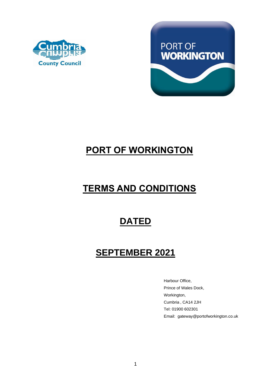



# **PORT OF WORKINGTON**

# **TERMS AND CONDITIONS**

## **DATED**

## **SEPTEMBER 2021**

Harbour Office, Prince of Wales Dock, Workington, Cumbria , CA14 2JH Tel: 01900 602301 Email: gateway@portofworkington.co.uk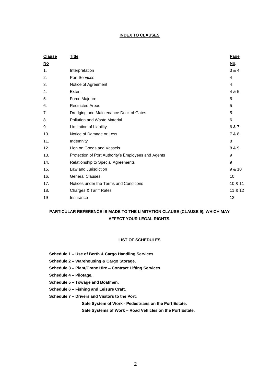## **INDEX TO CLAUSES**

| <b>Clause</b> | <u>Title</u>                                        | Page           |
|---------------|-----------------------------------------------------|----------------|
| <u>No</u>     |                                                     | No.            |
| 1.            | Interpretation                                      | 3 & 4          |
| 2.            | <b>Port Services</b>                                | $\overline{4}$ |
| 3.            | Notice of Agreement                                 | 4              |
| 4.            | Extent                                              | 4 & 5          |
| 5.            | Force Majeure                                       | 5              |
| 6.            | <b>Restricted Areas</b>                             | 5              |
| 7.            | Dredging and Maintenance Dock of Gates              | 5              |
| 8.            | Pollution and Waste Material                        | 6              |
| 9.            | Limitation of Liability                             | 6 & 7          |
| 10.           | Notice of Damage or Loss                            | 7 & 8          |
| 11.           | Indemnity                                           | 8              |
| 12.           | Lien on Goods and Vessels                           | 8 & 9          |
| 13.           | Protection of Port Authority's Employees and Agents | 9              |
| 14.           | Relationship to Special Agreements                  | 9              |
| 15.           | Law and Jurisdiction                                | 9 & 10         |
| 16.           | <b>General Clauses</b>                              | 10             |
| 17.           | Notices under the Terms and Conditions              | 10 & 11        |
| 18.           | <b>Charges &amp; Tariff Rates</b>                   | 11 & 12        |
| 19            | Insurance                                           | 12             |

## **PARTICULAR REFERENCE IS MADE TO THE LIMITATION CLAUSE (CLAUSE 9), WHICH MAY AFFECT YOUR LEGAL RIGHTS.**

## **LIST OF SCHEDULES**

- **Schedule 1 – Use of Berth & Cargo Handling Services.**
- **Schedule 2 – Warehousing & Cargo Storage.**
- **Schedule 3 – Plant/Crane Hire – Contract Lifting Services**
- **Schedule 4 – Pilotage.**
- **Schedule 5 – Towage and Boatmen.**
- **Schedule 6 – Fishing and Leisure Craft.**
- **Schedule 7 – Drivers and Visitors to the Port.**

**Safe System of Work - Pedestrians on the Port Estate.**

**Safe Systems of Work – Road Vehicles on the Port Estate.**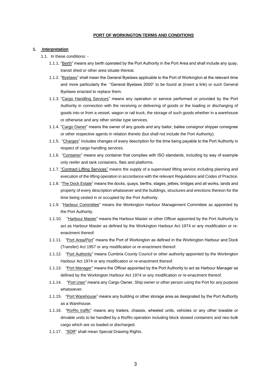## **PORT OF WORKINGTON TERMS AND CONDITIONS**

#### **1. Interpretation**

- 1.1. In these conditions:
	- 1.1.1. "Berth" means any berth operated by the Port Authority in the Port Area and shall include any quay, transit shed or other area situate thereat.
	- 1.1.2. "Byelaws" shall mean the General Byelaws applicable to the Port of Workington at the relevant time and more particularly the "General Byelaws 2000" to be found at (insert a link) or such General Byelaws enacted to replace them.
	- 1.1.3. "Cargo Handling Services" means any operation or service performed or provided by the Port Authority in connection with the receiving or delivering of goods or the loading or discharging of goods into or from a vessel, wagon or rail truck, the storage of such goods whether in a warehouse or otherwise and any other similar type services.
	- 1.1.4. "Cargo Owner" means the owner of any goods and any bailor, bailee consignor shipper consignee or other respective agents in relation thereto (but shall not include the Port Authority).
	- 1.1.5. "Charges" includes changes of every description for the time being payable to the Port Authority in respect of cargo handling services.
	- 1.1.6. "Container" means any container that complies with ISO standards, including by way of example only reefer and tank containers, flats and platforms.
	- 1.1.7. "Contract Lifting Services" means the supply of a supervised lifting service including planning and execution of the lifting operation in accordance with the relevant Regulations and Codes of Practice.
	- 1.1.8. "The Dock Estate" means the docks, quays, berths, stages, jetties, bridges and all works, lands and property of every description whatsoever and the buildings, structures and erections thereon for the time being vested in or occupied by the Port Authority.
	- 1.1.9. "Harbour Committee" means the Workington Harbour Management Committee as appointed by the Port Authority.
	- 1.1.10. "Harbour Master" means the Harbour Master or other Officer appointed by the Port Authority to act as Harbour Master as defined by the Workington Harbour Act 1974 or any modification or reenactment thereof.
	- 1.1.11. "Port Area/Port" means the Port of Workington as defined in the Workington Harbour and Dock (Transfer) Act 1957 or any modification or re-enactment thereof.
	- 1.1.12. "Port Authority" means Cumbria County Council or other authority appointed by the Workington Harbour Act 1974 or any modification or re-enactment thereof.
	- 1.1.13. "Port Manager" means the Officer appointed by the Port Authority to act as Harbour Manager as defined by the Workington Harbour Act 1974 or any modification or re-enactment thereof.
	- 1.1.14. "Port User" means any Cargo Owner, Ship owner or other person using the Port for any purpose whatsoever.
	- 1.1.15. "Port Warehouse" means any building or other storage area as designated by the Port Authority as a Warehouse.
	- 1.1.16. "Ro/Ro traffic" means any trailers, chassis, wheeled units, vehicles or any other towable or drivable units to be handled by a Ro/Ro operation including block stowed containers and neo-bulk cargo which are so loaded or discharged.
	- 1.1.17. "SDR" shall mean Special Drawing Rights.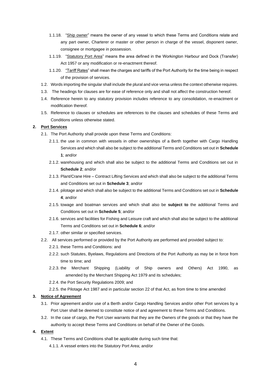- 1.1.18. "Ship owner" means the owner of any vessel to which these Terms and Conditions relate and any part owner, Charterer or master or other person in charge of the vessel, disponent owner, consignee or mortgagee in possession.
- 1.1.19. "Statutory Port Area" means the area defined in the Workington Harbour and Dock (Transfer) Act 1957 or any modification or re-enactment thereof.
- 1.1.20. "Tariff Rates" shall mean the charges and tariffs of the Port Authority for the time being in respect of the provision of services.
- 1.2. Words importing the singular shall include the plural and vice versa unless the context otherwise requires.
- 1.3. The headings for clauses are for ease of reference only and shall not affect the construction hereof.
- 1.4. Reference herein to any statutory provision includes reference to any consolidation, re-enactment or modification thereof.
- 1.5. Reference to clauses or schedules are references to the clauses and schedules of these Terms and Conditions unless otherwise stated.

## **2. Port Services**

- 2.1. The Port Authority shall provide upon these Terms and Conditions:
	- 2.1.1. the use in common with vessels in other ownerships of a Berth together with Cargo Handling Services and which shall also be subject to the additional Terms and Conditions set out in **Schedule 1**; and/or
	- 2.1.2. warehousing and which shall also be subject to the additional Terms and Conditions set out in **Schedule 2**; and/or
	- 2.1.3. Plant/Crane Hire Contract Lifting Services and which shall also be subject to the additional Terms and Conditions set out in **Schedule 3**; and/or
	- 2.1.4. pilotage and which shall also be subject to the additional Terms and Conditions set out in **Schedule 4**; and/or
	- 2.1.5. towage and boatman services and which shall also be **subject to** the additional Terms and Conditions set out in **Schedule 5**; and/or
	- 2.1.6. services and facilities for Fishing and Leisure craft and which shall also be subject to the additional Terms and Conditions set out in **Schedule 6**; and/or
	- 2.1.7. other similar or specified services.
- 2.2. All services performed or provided by the Port Authority are performed and provided subject to:
	- 2.2.1. these Terms and Conditions: and
	- 2.2.2. such Statutes, Byelaws, Regulations and Directions of the Port Authority as may be in force from time to time; and
	- 2.2.3. the Merchant Shipping (Liability of Ship owners and Others) Act 1990, as amended by the Merchant Shipping Act 1979 and its schedules;
	- 2.2.4. the Port Security Regulations 2009; and
	- 2.2.5. the Pilotage Act 1987 and in particular section 22 of that Act, as from time to time amended

#### **3. Notice of Agreement**

- 3.1. Prior agreement and/or use of a Berth and/or Cargo Handling Services and/or other Port services by a Port User shall be deemed to constitute notice of and agreement to these Terms and Conditions.
- 3.2. In the case of cargo, the Port User warrants that they are the Owners of the goods or that they have the authority to accept these Terms and Conditions on behalf of the Owner of the Goods.

## **4. Extent**

- 4.1. These Terms and Conditions shall be applicable during such time that:
	- 4.1.1. A vessel enters into the Statutory Port Area; and/or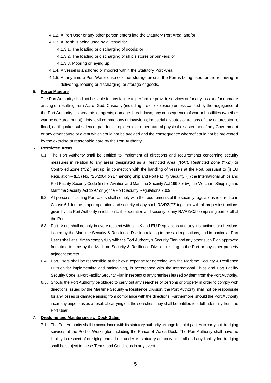- 4.1.2. A Port User or any other person enters into the Statutory Port Area; and/or
- 4.1.3. A Berth is being used by a vessel for
	- 4.1.3.1. The loading or discharging of goods; or
	- 4.1.3.2. The loading or discharging of ship's stores or bunkers; or
	- 4.1.3.3. Mooring or laying up
- 4.1.4. A vessel is anchored or moored within the Statutory Port Area
- 4.1.5. At any time a Port Warehouse or other storage area at the Port is being used for the receiving or delivering, loading or discharging, or storage of goods.

## **5. Force Majeure**

The Port Authority shall not be liable for any failure to perform or provide services or for any loss and/or damage arising or resulting from Act of God; Casualty (including fire or explosion) unless caused by the negligence of the Port Authority, its servants or agents; damage; breakdown; any consequence of war or hostilities (whether war be declared or not); riots, civil commotions or invasions; industrial disputes or actions of any nature; storm, flood, earthquake, subsidence, pandemic, epidemic or other natural physical disaster; act of any Government or any other cause or event which could not be avoided and the consequence whereof could not be prevented by the exercise of reasonable care by the Port Authority.

#### 6. **Restricted Areas**

- 6.1. The Port Authority shall be entitled to implement all directions and requirements concerning security measures in relation to any areas designated as a Restricted Area ("RA"), Restricted Zone ("RZ") or Controlled Zone ("CZ") set up, in connection with the handling of vessels at the Port, pursuant to (i) EU Regulation – (EC) No. 725/2004 on Enhancing Ship and Port Facility Security, (ii) the International Ships and Port Facility Security Code (iii) the Aviation and Maritime Security Act 1990 or (iv) the Merchant Shipping and Maritime Security Act 1997 or (v) the Port Security Regulations 2009.
- 6.2. All persons including Port Users shall comply with the requirements of the security regulations referred to in Clause 6.1 for the proper operation and security of any such RA/RZ/CZ together with all proper instructions given by the Port Authority in relation to the operation and security of any RA/RZ/CZ comprising part or all of the Port.
- 6.3. Port Users shall comply in every respect with all UK and EU Regulations and any instructions or directions issued by the Maritime Security & Resilience Division relating to the said regulations, and in particular Port Users shall at all times comply fully with the Port Authority's Security Plan and any other such Plan approved from time to time by the Maritime Security & Resilience Division relating to the Port or any other property adjacent thereto.
- 6.4. Port Users shall be responsible at their own expense for agreeing with the Maritime Security & Resilience Division for implementing and maintaining, in accordance with the International Ships and Port Facility Security Code, a Port Facility Security Plan in respect of any premises leased by them from the Port Authority.
- 6.5. Should the Port Authority be obliged to carry out any searches of persons or property in order to comply with directions issued by the Maritime Security & Resilience Division, the Port Authority shall not be responsible for any losses or damage arising from compliance with the directions. Furthermore, should the Port Authority incur any expenses as a result of carrying out the searches, they shall be entitled to a full indemnity from the Port User.

#### 7. **Dredging and Maintenance of Dock Gates.**

7.1. The Port Authority shall in accordance with its statutory authority arrange for third parties to carry out dredging services at the Port of Workington including the Prince of Wales Dock. The Port Authority shall have no liability in respect of dredging carried out under its statutory authority or at all and any liability for dredging shall be subject to these Terms and Conditions in any event.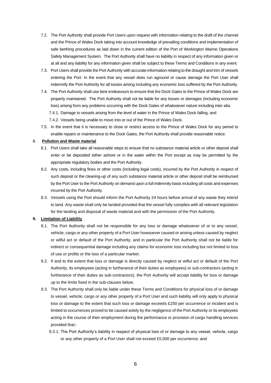- 7.2. The Port Authority shall provide Port Users upon request with information relating to the draft of the channel and the Prince of Wales Dock taking into account knowledge of prevailing conditions and implementation of safe berthing procedures as laid down in the current edition of the Port of Workington Marine Operations Safety Management System. The Port Authority shall have no liability in respect of any information given or at all and any liability for any information given shall be subject to these Terms and Conditions in any event.
- 7.3. Port Users shall provide the Port Authority with accurate information relating to the draught and trim of vessels entering the Port. In the event that any vessel does run aground or cause damage the Port User shall indemnify the Port Authority for all losses arising including any economic loss suffered by the Port Authority.
- 7.4. The Port Authority shall use best endeavours to ensure that the Dock Gates to the Prince of Wales Dock are properly maintained. The Port Authority shall not be liable for any losses or damages (including economic loss) arising from any problems occurring with the Dock Gates of whatsoever nature including inter alia:
	- 7.4.1. Damage to vessels arising from the level of water in the Prince of Wales Dock falling; and
	- 7.4.2. Vessels being unable to move into or out of the Prince of Wales Dock.
- 7.5. In the event that it is necessary to close or restrict access to the Prince of Wales Dock for any period to enable repairs or maintenance to the Dock Gates, the Port Authority shall provide reasonable notice.

## 8. **Pollution and Waste material**

- 8.1. Port Users shall take all reasonable steps to ensure that no substance material article or other deposit shall enter or be deposited either ashore or in the water within the Port except as may be permitted by the appropriate regulatory bodies and the Port Authority.
- 8.2. Any costs, including fines or other costs (including legal costs), incurred by the Port Authority in respect of such deposit or the cleaning-up of any such substance material article or other deposit shall be reimbursed by the Port User to the Port Authority on demand upon a full indemnity basis including all costs and expenses incurred by the Port Authority.
- 8.3. Vessels using the Port should inform the Port Authority 24 hours before arrival of any waste they intend to land. Any waste shall only be landed provided that the vessel fully complies with all relevant legislation for the landing and disposal of waste material and with the permission of the Port Authority.

## **9. Limitation of Liability**

- 9.1. The Port Authority shall not be responsible for any loss or damage whatsoever of or to any vessel, vehicle, cargo or any other property of a Port User howsoever caused or arising unless caused by neglect or wilful act or default of the Port Authority, and in particular the Port Authority shall not be liable for indirect or consequential damage including any claims for economic loss including but not limited to loss of use or profits or the loss of a particular market.
- 9.2. If and to the extent that loss or damage is directly caused by neglect or wilful act or default of the Port Authority, its employees (acting in furtherance of their duties as employees) or sub-contractors (acting in furtherance of their duties as sub-contractors), the Port Authority will accept liability for loss or damage up to the limits fixed in the sub-clauses below.
- 9.3. The Port Authority shall only be liable under these Terms and Conditions for physical loss of or damage to vessel, vehicle, cargo or any other property of a Port User and such liability will only apply to physical loss or damage to the extent that such loss or damage exceeds £250 per occurrence or incident and is limited to occurrences proved to be caused solely by the negligence of the Port Authority or its employees acting in the course of their employment during the performance or provision of cargo handling services provided that:-
	- 9.3.1. The Port Authority's liability in respect of physical loss of or damage to any vessel, vehicle, cargo or any other property of a Port User shall not exceed £5,000 per occurrence; and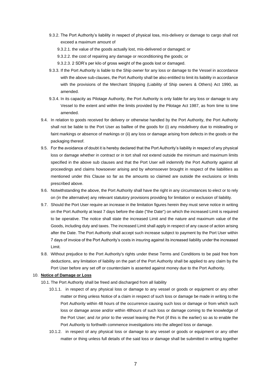- 9.3.2. The Port Authority's liability in respect of physical loss, mis-delivery or damage to cargo shall not exceed a maximum amount of
	- 9.3.2.1. the value of the goods actually lost, mis-delivered or damaged; or
	- 9.3.2.2. the cost of repairing any damage or reconditioning the goods; or
	- 9.3.2.3. 2 SDR's per kilo of gross weight of the goods lost or damaged.
- 9.3.3. If the Port Authority is liable to the Ship owner for any loss or damage to the Vessel in accordance with the above sub-clauses, the Port Authority shall be also entitled to limit its liability in accordance with the provisions of the Merchant Shipping (Liability of Ship owners & Others) Act 1990, as amended.
- 9.3.4. In its capacity as Pilotage Authority, the Port Authority is only liable for any loss or damage to any Vessel to the extent and within the limits provided by the Pilotage Act 1987, as from time to time amended.
- 9.4. In relation to goods received for delivery or otherwise handled by the Port Authority, the Port Authority shall not be liable to the Port User as baillee of the goods for (i) any misdelivery due to misleading or faint markings or absence of markings or (ii) any loss or damage arising from defects in the goods or the packaging thereof.
- 9.5. For the avoidance of doubt it is hereby declared that the Port Authority's liability in respect of any physical loss or damage whether in contract or in tort shall not extend outside the minimum and maximum limits specified in the above sub clauses and that the Port User will indemnify the Port Authority against all proceedings and claims howsoever arising and by whomsoever brought in respect of the liabilities as mentioned under this Clause so far as the amounts so claimed are outside the exclusions or limits prescribed above.
- 9.6. Notwithstanding the above, the Port Authority shall have the right in any circumstances to elect or to rely on (in the alternative) any relevant statutory provisions providing for limitation or exclusion of liability.
- 9.7. Should the Port User require an increase in the limitation figures herein they must serve notice in writing on the Port Authority at least 7 days before the date ("the Date") on which the increased Limit is required to be operative. The notice shall state the increased Limit and the nature and maximum value of the Goods, including duty and taxes. The increased Limit shall apply in respect of any cause of action arising after the Date. The Port Authority shall accept such increase subject to payment by the Port User within 7 days of invoice of the Port Authority's costs in insuring against its increased liability under the increased Limit.
- 9.8. Without prejudice to the Port Authority's rights under these Terms and Conditions to be paid free from deductions, any limitation of liability on the part of the Port Authority shall be applied to any claim by the Port User before any set off or counterclaim is asserted against money due to the Port Authority.

#### 10. **Notice of Damage or Loss**

- 10.1. The Port Authority shall be freed and discharged from all liability
	- 10.1.1. in respect of any physical loss or damage to any vessel or goods or equipment or any other matter or thing unless Notice of a claim in respect of such loss or damage be made in writing to the Port Authority within 48 hours of the occurrence causing such loss or damage or from which such loss or damage arose and/or within 48hours of such loss or damage coming to the knowledge of the Port User; and /or prior to the vessel leaving the Port (if this is the earlier) so as to enable the Port Authority to forthwith commence investigations into the alleged loss or damage.
	- 10.1.2. in respect of any physical loss or damage to any vessel or goods or equipment or any other matter or thing unless full details of the said loss or damage shall be submitted in writing together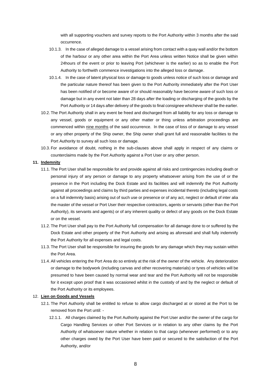with all supporting vouchers and survey reports to the Port Authority within 3 months after the said occurrence.

- 10.1.3. In the case of alleged damage to a vessel arising from contact with a quay wall and/or the bottom of the harbour or any other area within the Port Area unless written Notice shall be given within 24hours of the event or prior to leaving Port (whichever is the earlier) so as to enable the Port Authority to forthwith commence investigations into the alleged loss or damage.
- 10.1.4. In the case of latent physical loss or damage to goods unless notice of such loss or damage and the particular nature thereof has been given to the Port Authority immediately after the Port User has been notified of or become aware of or should reasonably have become aware of such loss or damage but in any event not later than 28 days after the loading or discharging of the goods by the Port Authority or 14 days after delivery of the goods to final consignee whichever shall be the earlier.
- 10.2. The Port Authority shall in any event be freed and discharged from all liability for any loss or damage to any vessel, goods or equipment or any other matter or thing unless arbitration proceedings are commenced within nine months of the said occurrence. In the case of loss of or damage to any vessel or any other property of the Ship owner, the Ship owner shall grant full and reasonable facilities to the Port Authority to survey all such loss or damage.
- 10.3. For avoidance of doubt, nothing in the sub-clauses above shall apply in respect of any claims or counterclaims made by the Port Authority against a Port User or any other person.

#### **11. Indemnity**

- 11.1. The Port User shall be responsible for and provide against all risks and contingencies including death or personal injury of any person or damage to any property whatsoever arising from the use of or the presence in the Port including the Dock Estate and its facilities and will indemnify the Port Authority against all proceedings and claims by third parties and expenses incidental thereto (including legal costs on a full indemnity basis) arising out of such use or presence or of any act, neglect or default of inter alia the master of the vessel or Port User their respective contractors, agents or servants (other than the Port Authority), its servants and agents) or of any inherent quality or defect of any goods on the Dock Estate or on the vessel.
- 11.2. The Port User shall pay to the Port Authority full compensation for all damage done to or suffered by the Dock Estate and other property of the Port Authority and arising as aforesaid and shall fully indemnify the Port Authority for all expenses and legal costs.
- 11.3. The Port User shall be responsible for insuring the goods for any damage which they may sustain within the Port Area.
- 11.4.All vehicles entering the Port Area do so entirely at the risk of the owner of the vehicle. Any deterioration or damage to the bodywork (including canvas and other recovering materials) or tyres of vehicles will be presumed to have been caused by normal wear and tear and the Port Authority will not be responsible for it except upon proof that it was occasioned whilst in the custody of and by the neglect or default of the Port Authority or its employees.

## 12. **Lien on Goods and Vessels**

- 12.1. The Port Authority shall be entitled to refuse to allow cargo discharged at or stored at the Port to be removed from the Port until: -
	- 12.1.1. All charges claimed by the Port Authority against the Port User and/or the owner of the cargo for Cargo Handling Services or other Port Services or in relation to any other claims by the Port Authority of whatsoever nature whether in relation to that cargo (whenever performed) or to any other charges owed by the Port User have been paid or secured to the satisfaction of the Port Authority, and/or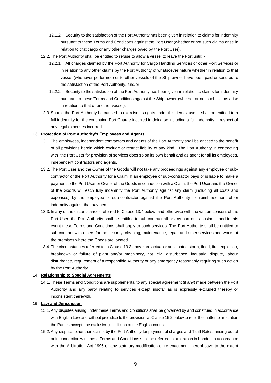- 12.1.2. Security to the satisfaction of the Port Authority has been given in relation to claims for indemnity pursuant to these Terms and Conditions against the Port User (whether or not such claims arise in relation to that cargo or any other charges owed by the Port User).
- 12.2. The Port Authority shall be entitled to refuse to allow a vessel to leave the Port until:
	- 12.2.1. All charges claimed by the Port Authority for Cargo Handling Services or other Port Services or in relation to any other claims by the Port Authority of whatsoever nature whether in relation to that vessel (whenever performed) or to other vessels of the Ship owner have been paid or secured to the satisfaction of the Port Authority, and/or
	- 12.2.2. Security to the satisfaction of the Port Authority has been given in relation to claims for indemnity pursuant to these Terms and Conditions against the Ship owner (whether or not such claims arise in relation to that or another vessel).
- 12.3.Should the Port Authority be caused to exercise its rights under this lien clause, it shall be entitled to a full indemnity for the continuing Port Charge incurred in doing so including a full indemnity in respect of any legal expenses incurred.

#### **13. Protection of Port Authority's Employees and Agents**

- 13.1. The employees, independent contractors and agents of the Port Authority shall be entitled to the benefit of all provisions herein which exclude or restrict liability of any kind. The Port Authority in contracting with the Port User for provision of services does so on its own behalf and as agent for all its employees, independent contractors and agents.
- 13.2. The Port User and the Owner of the Goods will not take any proceedings against any employee or subcontractor of the Port Authority for a Claim. If an employee or sub-contractor pays or is liable to make a payment to the Port User or Owner of the Goods in connection with a Claim, the Port User and the Owner of the Goods will each fully indemnify the Port Authority against any claim (including all costs and expenses) by the employee or sub-contractor against the Port Authority for reimbursement of or indemnity against that payment.
- 13.3. In any of the circumstances referred to Clause 13.4 below, and otherwise with the written consent of the Port User, the Port Authority shall be entitled to sub-contract all or any part of its business and in this event these Terms and Conditions shall apply to such services. The Port Authority shall be entitled to sub-contract with others for the security, cleaning, maintenance, repair and other services and works at the premises where the Goods are located.
- 13.4. The circumstances referred to in Clause 13.3 above are actual or anticipated storm, flood, fire, explosion, breakdown or failure of plant and/or machinery, riot, civil disturbance, industrial dispute, labour disturbance, requirement of a responsible Authority or any emergency reasonably requiring such action by the Port Authority.

#### **14. Relationship to Special Agreements**

14.1. These Terms and Conditions are supplemental to any special agreement (if any) made between the Port Authority and any party relating to services except insofar as is expressly excluded thereby or inconsistent therewith.

## **15. Law and Jurisdiction**

- 15.1.Any disputes arising under these Terms and Conditions shall be governed by and construed in accordance with English Law and without prejudice to the provision at Clause 15.2 below to refer the matter to arbitration the Parties accept the exclusive jurisdiction of the English courts.
- 15.2.Any dispute, other than claims by the Port Authority for payment of charges and Tariff Rates, arising out of or in connection with these Terms and Conditions shall be referred to arbitration in London in accordance with the Arbitration Act 1996 or any statutory modification or re-enactment thereof save to the extent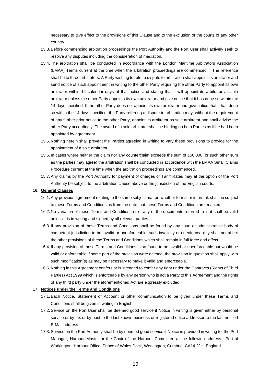necessary to give effect to the provisions of this Clause and to the exclusion of the courts of any other country.

- 15.3.Before commencing arbitration proceedings the Port Authority and the Port User shall actively seek to resolve any disputes including the consideration of mediation.
- 15.4. The arbitration shall be conducted in accordance with the London Maritime Arbitrators Association (LMAA) Terms current at the time when the arbitration proceedings are commenced. The reference shall be to three arbitrators. A Party wishing to refer a dispute to arbitration shall appoint its arbitrator and send notice of such appointment in writing to the other Party requiring the other Party to appoint its own arbitrator within 14 calendar days of that notice and stating that it will appoint its arbitrator as sole arbitrator unless the other Party appoints its own arbitrator and give notice that it has done so within the 14 days specified. If the other Party does not appoint its own arbitrator and give notice that it has done so within the 14 days specified, the Party referring a dispute to arbitration may, without the requirement of any further prior notice to the other Party, appoint its arbitrator as sole arbitrator and shall advise the other Party accordingly. The award of a sole arbitrator shall be binding on both Parties as if he had been appointed by agreement.
- 15.5. Nothing herein shall prevent the Parties agreeing in writing to vary these provisions to provide for the appointment of a sole arbitrator.
- 15.6. In cases where neither the claim nor any counterclaim exceeds the sum of £50,000 (or such other sum as the parties may agree) the arbitration shall be conducted in accordance with the LMAA Small Claims Procedure current at the time when the arbitration proceedings are commenced.
- 15.7.Any claims by the Port Authority for payment of charges or Tariff Rates may at the option of the Port Authority be subject to the arbitration clause above or the jurisdiction of the English courts.

#### **16. General Clauses**

- 16.1.Any previous agreement relating to the same subject matter, whether formal or informal, shall be subject to these Terms and Conditions as from the date that these Terms and Conditions are enacted.
- 16.2. No variation of these Terms and Conditions or of any of the documents referred to in it shall be valid unless it is in writing and signed by all relevant parties.
- 16.3. If any provision of these Terms and Conditions shall be found by any court or administrative body of competent jurisdiction to be invalid or unenforceable, such invalidity or unenforceability shall not affect the other provisions of these Terms and Conditions which shall remain in full force and effect.
- 16.4. If any provision of these Terms and Conditions is so found to be invalid or unenforceable but would be valid or enforceable if some part of the provision were deleted, the provision in question shall apply with such modification(s) as may be necessary to make it valid and enforceable.
- 16.5. Nothing in this Agreement confers or is intended to confer any right under the Contracts (Rights of Third Parties) Act 1999 which is enforceable by any person who is not a Party to this Agreement and the rights of any third party under the aforementioned Act are expressly excluded.

### **17. Notices under the Terms and Conditions**

- 17.1.Each Notice, Statement of Account or other communication to be given under these Terms and Conditions shall be given in writing in English.
- 17.2.Service on the Port User shall be deemed good service if Notice in writing is given either by personal service or by fax or by post to the last known business or registered office addressor to the last notified E-Mail address
- 17.3.Service on the Port Authority shall be by deemed good service if Notice is provided in writing to, the Port Manager, Harbour Master or the Chair of the Harbour Committee at the following address:- Port of Workington, Harbour Office, Prince of Wales Dock, Workington, Cumbria, CA14 2JH, England.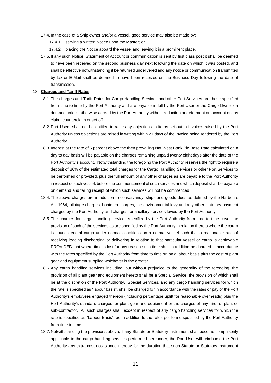- 17.4. In the case of a Ship owner and/or a vessel, good service may also be made by:
	- 17.4.1. serving a written Notice upon the Master; or
	- 17.4.2. placing the Notice aboard the vessel and leaving it in a prominent place.
- 17.5. If any such Notice, Statement of Account or communication is sent by first class post it shall be deemed to have been received on the second business day next following the date on which it was posted, and shall be effective notwithstanding it be returned undelivered and any notice or communication transmitted by fax or E-Mail shall be deemed to have been received on the Business Day following the date of transmission.

## 18. **Charges and Tariff Rates**

- 18.1. The charges and Tariff Rates for Cargo Handling Services and other Port Services are those specified from time to time by the Port Authority and are payable in full by the Port User or the Cargo Owner on demand unless otherwise agreed by the Port Authority without reduction or deferment on account of any claim, counterclaim or set off.
- 18.2.Port Users shall not be entitled to raise any objections to items set out in invoices raised by the Port Authority unless objections are raised in writing within 21 days of the invoice being rendered by the Port Authority.
- 18.3. Interest at the rate of 5 percent above the then prevailing Nat West Bank Plc Base Rate calculated on a day to day basis will be payable on the charges remaining unpaid twenty eight days after the date of the Port Authority's account. Notwithstanding the foregoing the Port Authority reserves the right to require a deposit of 80% of the estimated total charges for the Cargo Handling Services or other Port Services to be performed or provided, plus the full amount of any other charges as are payable to the Port Authority in respect of such vessel, before the commencement of such services and which deposit shall be payable on demand and failing receipt of which such services will not be commenced.
- 18.4. The above charges are in addition to conservancy, ships and goods dues as defined by the Harbours Act 1964, pilotage charges, boatmen charges, the environmental levy and any other statutory payment charged by the Port Authority and charges for ancillary services levied by the Port Authority.
- 18.5. The charges for cargo handling services specified by the Port Authority from time to time cover the provision of such of the services as are specified by the Port Authority in relation thereto where the cargo is sound general cargo under normal conditions on a normal vessel such that a reasonable rate of receiving loading discharging or delivering in relation to that particular vessel or cargo is achievable PROVIDED that where time is lost for any reason such time shall in addition be charged in accordance with the rates specified by the Port Authority from time to time or on a labour basis plus the cost of plant gear and equipment supplied whichever is the greater.
- 18.6.Any cargo handling services including, but without prejudice to the generality of the foregoing, the provision of all plant gear and equipment hereto shall be a Special Service, the provision of which shall be at the discretion of the Port Authority. Special Services, and any cargo handling services for which the rate is specified as "labour basis", shall be charged for in accordance with the rates of pay of the Port Authority's employees engaged thereon (including percentage uplift for reasonable overheads) plus the Port Authority's standard charges for plant gear and equipment or the charges of any hirer of plant or sub-contractor. All such charges shall, except in respect of any cargo handling services for which the rate is specified as "Labour Basis", be in addition to the rates per tonne specified by the Port Authority from time to time.
- 18.7. Notwithstanding the provisions above, if any Statute or Statutory Instrument shall become compulsorily applicable to the cargo handling services performed hereunder, the Port User will reimburse the Port Authority any extra cost occasioned thereby for the duration that such Statute or Statutory Instrument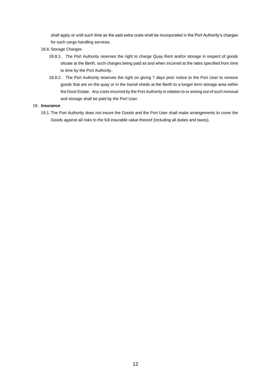shall apply or until such time as the said extra costs shall be incorporated in the Port Authority's charges for such cargo handling services.

- 18.8.Storage Charges
	- 18.8.1. The Port Authority reserves the right to charge Quay Rent and/or storage in respect of goods situate at the Berth, such charges being paid as and when incurred at the rates specified from time to time by the Port Authority.
	- 18.8.2. The Port Authority reserves the right on giving 7 days prior notice to the Port User to remove goods that are on the quay or in the transit sheds at the Berth to a longer term storage area within the Dock Estate. Any costs incurred by the Port Authority in relation to or arising out of such removal and storage shall be paid by the Port User.

#### 19. **Insurance**

19.1. The Port Authority does not insure the Goods and the Port User shall make arrangements to cover the Goods against all risks to the full insurable value thereof (including all duties and taxes).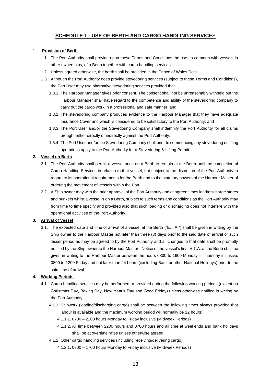## **SCHEDULE 1 - USE OF BERTH AND CARGO HANDLING SERVIC**ES

## 1. **Provision of Berth**

- 1.1. The Port Authority shall provide upon these Terms and Conditions the use, in common with vessels in other ownerships, of a Berth together with cargo handling services.
- 1.2. Unless agreed otherwise, the berth shall be provided in the Prince of Wales Dock.
- 1.3. Although the Port Authority does provide stevedoring services (subject to these Terms and Conditions), the Port User may use alternative stevedoring services provided that
	- 1.3.1. The Harbour Manager gives prior consent. The consent shall not be unreasonably withheld but the Harbour Manager shall have regard to the competence and ability of the stevedoring company to carry out the cargo work in a professional and safe manner; and
	- 1.3.2. The stevedoring company produces evidence to the Harbour Manager that they have adequate Insurance Cover and which is considered to be satisfactory to the Port Authority; and
	- 1.3.3. The Port User and/or the Stevedoring Company shall indemnify the Port Authority for all claims brought either directly or indirectly against the Port Authority.
	- 1.3.4. The Port User and/or the Stevedoring Company shall prior to commencing any stevedoring or lifting operations apply to the Port Authority for a Stevedoring & Lifting Permit.

## **2. Vessel on Berth**

- 2.1. The Port Authority shall permit a vessel once on a Berth to remain at the Berth until the completion of Cargo Handling Services in relation to that vessel, but subject to the discretion of the Port Authority in regard to its operational requirements for the Berth and to the statutory powers of the Harbour Master of ordering the movement of vessels within the Port.
- 2.2. A Ship owner may with the prior approval of the Port Authority and at agreed times load/discharge stores and bunkers whilst a vessel is on a Berth, subject to such terms and conditions as the Port Authority may from time to time specify and provided also that such loading or discharging does not interfere with the operational activities of the Port Authority.

## **3. Arrival of Vessel**

3.1. The expected date and time of arrival of a vessel at the Berth ("E.T.A.") shall be given in writing by the Ship owner to the Harbour Master not later than three (3) days prior to the said date of arrival or such lesser period as may be agreed to by the Port Authority and all changes to that date shall be promptly notified by the Ship owner to the Harbour Master. Notice of the vessel's final E.T.A. at the Berth shall be given in writing to the Harbour Master between the hours 0800 to 1600 Monday – Thursday inclusive, 0800 to 1200 Friday and not later than 24 hours (excluding Bank or other National Holidays) prior to the said time of arrival.

## **4. Working Periods**

- 4.1. Cargo handling services may be performed or provided during the following working periods (except on Christmas Day, Boxing Day, New Year's Day and Good Friday) unless otherwise notified in writing by the Port Authority:
	- 4.1.1. Shipwork (loading/discharging cargo) shall be between the following times always provided that labour is available and the maximum working period will normally be 12 hours:
		- 4.1.1.1. 0700 2200 hours Monday to Friday inclusive (Midweek Periods)
		- 4.1.1.2. All time between 2200 hours and 0700 hours and all time at weekends and bank holidays shall be at overtime rates unless otherwise agreed.
	- 4.1.2. Other cargo handling services (including receiving/delivering cargo)
		- 4.1.2.1. 0800 1700 hours Monday to Friday inclusive (Midweek Periods)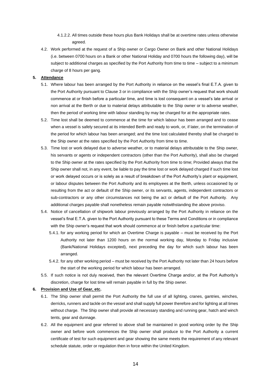- 4.1.2.2. All times outside these hours plus Bank Holidays shall be at overtime rates unless otherwise agreed.
- 4.2. Work performed at the request of a Ship owner or Cargo Owner on Bank and other National Holidays (i.e. between 0700 hours on a Bank or other National Holiday and 0700 hours the following day), will be subject to additional charges as specified by the Port Authority from time to time – subject to a minimum charge of 8 hours per gang.

## **5. Attendance**

- 5.1. Where labour has been arranged by the Port Authority in reliance on the vessel's final E.T.A. given to the Port Authority pursuant to Clause 3 or in compliance with the Ship owner's request that work should commence at or finish before a particular time, and time is lost consequent on a vessel's late arrival or non arrival at the Berth or due to material delays attributable to the Ship owner or to adverse weather, then the period of working time with labour standing by may be charged for at the appropriate rates.
- 5.2. Time lost shall be deemed to commence at the time for which labour has been arranged and to cease when a vessel is safely secured at its intended Berth and ready to work, or, if later, on the termination of the period for which labour has been arranged; and the time lost calculated thereby shall be charged to the Ship owner at the rates specified by the Port Authority from time to time.
- 5.3. Time lost or work delayed due to adverse weather, or to material delays attributable to the Ship owner, his servants or agents or independent contractors (other than the Port Authority), shall also be charged to the Ship owner at the rates specified by the Port Authority from time to time; Provided always that the Ship owner shall not, in any event, be liable to pay the time lost or work delayed charged if such time lost or work delayed occurs or is solely as a result of breakdown of the Port Authority's plant or equipment, or labour disputes between the Port Authority and its employees at the Berth, unless occasioned by or resulting from the act or default of the Ship owner, or its servants, agents, independent contractors or sub-contractors or any other circumstances not being the act or default of the Port Authority. Any additional charges payable shall nonetheless remain payable notwithstanding the above proviso.
- 5.4. Notice of cancellation of shipwork labour previously arranged by the Port Authority in reliance on the vessel's final E.T.A. given to the Port Authority pursuant to these Terms and Conditions or in compliance with the Ship owner's request that work should commence at or finish before a particular time:
	- 5.4.1. for any working period for which an Overtime Charge is payable must be received by the Port Authority not later than 1200 hours on the normal working day, Monday to Friday inclusive (Bank/National Holidays excepted), next preceding the day for which such labour has been arranged.
	- 5.4.2. for any other working period must be received by the Port Authority not later than 24 hours before the start of the working period for which labour has been arranged.
- 5.5. If such notice is not duly received, then the relevant Overtime Charge and/or, at the Port Authority's discretion, charge for lost time will remain payable in full by the Ship owner.

### **6. Provision and Use of Gear, etc.**

- 6.1. The Ship owner shall permit the Port Authority the full use of all lighting, cranes, gantries, winches, derricks, runners and tackle on the vessel and shall supply full power therefore and for lighting at all times without charge. The Ship owner shall provide all necessary standing and running gear, hatch and winch tents, gear and dunnage.
- 6.2. All the equipment and gear referred to above shall be maintained in good working order by the Ship owner and before work commences the Ship owner shall produce to the Port Authority a current certificate of test for such equipment and gear showing the same meets the requirement of any relevant schedule statute, order or regulation then in force within the United Kingdom.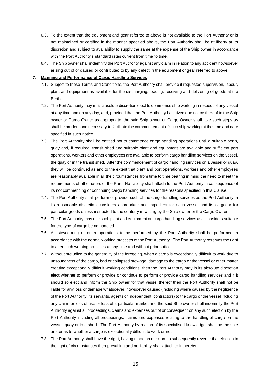- 6.3. To the extent that the equipment and gear referred to above is not available to the Port Authority or is not maintained or certified in the manner specified above, the Port Authority shall be at liberty at its discretion and subject to availability to supply the same at the expense of the Ship owner in accordance with the Port Authority's standard rates current from time to time.
- 6.4. The Ship owner shall indemnify the Port Authority against any claim in relation to any accident howsoever arising out of or caused or contributed to by any defect in the equipment or gear referred to above.

## **7. Manning and Performance of Cargo Handling Services**

- 7.1. Subject to these Terms and Conditions, the Port Authority shall provide if requested supervision, labour, plant and equipment as available for the discharging, loading, receiving and delivering of goods at the Berth.
- 7.2. The Port Authority may in its absolute discretion elect to commence ship working in respect of any vessel at any time and on any day, and, provided that the Port Authority has given due notice thereof to the Ship owner or Cargo Owner as appropriate, the said Ship owner or Cargo Owner shall take such steps as shall be prudent and necessary to facilitate the commencement of such ship working at the time and date specified in such notice.
- 7.3. The Port Authority shall be entitled not to commence cargo handling operations until a suitable berth, quay and, if required, transit shed and suitable plant and equipment are available and sufficient port operations, workers and other employees are available to perform cargo handling services on the vessel, the quay or in the transit shed. After the commencement of cargo handling services on a vessel or quay, they will be continued as and to the extent that plant and port operations, workers and other employees are reasonably available in all the circumstances from time to time bearing in mind the need to meet the requirements of other users of the Port. No liability shall attach to the Port Authority in consequence of its not commencing or continuing cargo handling services for the reasons specified in this Clause.
- 7.4. The Port Authority shall perform or provide such of the cargo handling services as the Port Authority in its reasonable discretion considers appropriate and expedient for each vessel and its cargo or for particular goods unless instructed to the contrary in writing by the Ship owner or the Cargo Owner.
- 7.5. The Port Authority may use such plant and equipment on cargo handling services as it considers suitable for the type of cargo being handled.
- 7.6. All stevedoring or other operations to be performed by the Port Authority shall be performed in accordance with the normal working practices of the Port Authority. The Port Authority reserves the right to alter such working practices at any time and without prior notice.
- 7.7. Without prejudice to the generality of the foregoing, when a cargo is exceptionally difficult to work due to unsoundness of the cargo, bad or collapsed stowage, damage to the cargo or the vessel or other matter creating exceptionally difficult working conditions, then the Port Authority may in its absolute discretion elect whether to perform or provide or continue to perform or provide cargo handling services and if it should so elect and inform the Ship owner for that vessel thereof then the Port Authority shall not be liable for any loss or damage whatsoever, howsoever caused (including where caused by the negligence of the Port Authority, its servants, agents or independent contractors) to the cargo or the vessel including any claim for loss of use or loss of a particular market and the said Ship owner shall indemnify the Port Authority against all proceedings, claims and expenses out of or consequent on any such election by the Port Authority including all proceedings, claims and expenses relating to the handling of cargo on the vessel, quay or in a shed. The Port Authority by reason of its specialised knowledge, shall be the sole arbiter as to whether a cargo is exceptionally difficult to work or not.
- 7.8. The Port Authority shall have the right, having made an election, to subsequently reverse that election in the light of circumstances then prevailing and no liability shall attach to it thereby.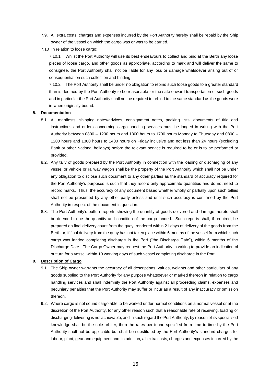- 7.9. All extra costs, charges and expenses incurred by the Port Authority hereby shall be repaid by the Ship owner of the vessel on which the cargo was or was to be carried.
- 7.10 In relation to loose cargo:

7.10.1 Whilst the Port Authority will use its best endeavours to collect and bind at the Berth any loose pieces of loose cargo, and other goods as appropriate, according to mark and will deliver the same to consignee, the Port Authority shall not be liable for any loss or damage whatsoever arising out of or consequential on such collection and binding.

7.10.2 The Port Authority shall be under no obligation to rebind such loose goods to a greater standard than is deemed by the Port Authority to be reasonable for the safe onward transportation of such goods and in particular the Port Authority shall not be required to rebind to the same standard as the goods were in when originally bound.

#### **8. Documentation**

- 8.1. All manifests, shipping notes/advices, consignment notes, packing lists, documents of title and instructions and orders concerning cargo handling services must be lodged in writing with the Port Authority between 0800 – 1200 hours and 1300 hours to 1700 hours Monday to Thursday and 0800 – 1200 hours and 1300 hours to 1400 hours on Friday inclusive and not less than 24 hours (excluding Bank or other National holidays) before the relevant service is required to be or is to be performed or provided.
- 8.2. Any tally of goods prepared by the Port Authority in connection with the loading or discharging of any vessel or vehicle or railway wagon shall be the property of the Port Authority which shall not be under any obligation to disclose such document to any other parties as the standard of accuracy required for the Port Authority's purposes is such that they record only approximate quantities and do not need to record marks. Thus, the accuracy of any document based whether wholly or partially upon such tallies shall not be presumed by any other party unless and until such accuracy is confirmed by the Port Authority in respect of the document in question.
- 8.3. The Port Authority's outturn reports showing the quantity of goods delivered and damage thereto shall be deemed to be the quantity and condition of the cargo landed. Such reports shall, if required, be prepared on final delivery count from the quay, rendered within 21 days of delivery of the goods from the Berth or, if final delivery from the quay has not taken place within 6 months of the vessel from which such cargo was landed completing discharge in the Port ("the Discharge Date"), within 6 months of the Discharge Date. The Cargo Owner may request the Port Authority in writing to provide an indication of outturn for a vessel within 10 working days of such vessel completing discharge in the Port.

## **9. Description of Cargo**

- 9.1. The Ship owner warrants the accuracy of all descriptions, values, weights and other particulars of any goods supplied to the Port Authority for any purpose whatsoever or marked thereon in relation to cargo handling services and shall indemnify the Port Authority against all proceeding claims, expenses and pecuniary penalties that the Port Authority may suffer or incur as a result of any inaccuracy or omission thereon.
- 9.2. Where cargo is not sound cargo able to be worked under normal conditions on a normal vessel or at the discretion of the Port Authority, for any other reason such that a reasonable rate of receiving, loading or discharging delivering is not achievable, and in such regard the Port Authority, by reason of its specialised knowledge shall be the sole arbiter, then the rates per tonne specified from time to time by the Port Authority shall not be applicable but shall be substituted by the Port Authority's standard charges for labour, plant, gear and equipment and, in addition, all extra costs, charges and expenses incurred by the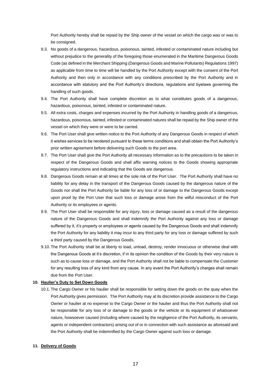Port Authority hereby shall be repaid by the Ship owner of the vessel on which the cargo was or was to be consigned.

- 9.3. No goods of a dangerous, hazardous, poisonous, tainted, infested or contaminated nature including but without prejudice to the generality of the foregoing those enumerated in the Maritime Dangerous Goods Code (as defined in the Merchant Shipping (Dangerous Goods and Marine Pollutants) Regulations 1997) as applicable from time to time will be handled by the Port Authority except with the consent of the Port Authority and then only in accordance with any conditions prescribed by the Port Authority and in accordance with statutory and the Port Authority's directions, regulations and byelaws governing the handling of such goods.
- 9.4. The Port Authority shall have complete discretion as to what constitutes goods of a dangerous, hazardous, poisonous, tainted, infested or contaminated nature.
- 9.5. All extra costs, charges and expenses incurred by the Port Authority in handling goods of a dangerous, hazardous, poisonous, tainted, infested or contaminated natures shall be repaid by the Ship owner of the vessel on which they were or were to be carried.
- 9.6. The Port User shall give written notice to the Port Authority of any Dangerous Goods in respect of which it wishes services to be rendered pursuant to these terms conditions and shall obtain the Port Authority's prior written agreement before delivering such Goods to the port area.
- 9.7. The Port User shall give the Port Authority all necessary information as to the precautions to be taken in respect of the Dangerous Goods and shall affix warning notices to the Goods showing appropriate regulatory instructions and indicating that the Goods are dangerous.
- 9.8. Dangerous Goods remain at all times at the sole risk of the Port User. The Port Authority shall have no liability for any delay in the transport of the Dangerous Goods caused by the dangerous nature of the Goods nor shall the Port Authority be liable for any loss of or damage to the Dangerous Goods except upon proof by the Port User that such loss or damage arose from the wilful misconduct of the Port Authority or its employees or agents.
- 9.9. The Port User shall be responsible for any injury, loss or damage caused as a result of the dangerous nature of the Dangerous Goods and shall indemnify the Port Authority against any loss or damage suffered by it, it's property or employees or agents caused by the Dangerous Goods and shall indemnify the Port Authority for any liability it may incur to any third party for any loss or damage suffered by such a third party caused by the Dangerous Goods.
- 9.10. The Port Authority shall be at liberty to load, unload, destroy, render innocuous or otherwise deal with the Dangerous Goods at it's discretion, if in its opinion the condition of the Goods by their very nature is such as to cause loss or damage, and the Port Authority shall not be liable to compensate the Customer for any resulting loss of any kind from any cause. In any event the Port Authority's charges shall remain due from the Port User.

## **10. Haulier's Duty to Set Down Goods**

10.1. The Cargo Owner or his haulier shall be responsible for setting down the goods on the quay when the Port Authority gives permission. The Port Authority may at its discretion provide assistance to the Cargo Owner or haulier at no expense to the Cargo Owner or the haulier and thus the Port Authority shall not be responsible for any loss of or damage to the goods or the vehicle or its equipment of whatsoever nature, howsoever caused (including where caused by the negligence of the Port Authority, its servants, agents or independent contractors) arising out of or in connection with such assistance as aforesaid and the Port Authority shall be indemnified by the Cargo Owner against such loss or damage.

#### **11. Delivery of Goods**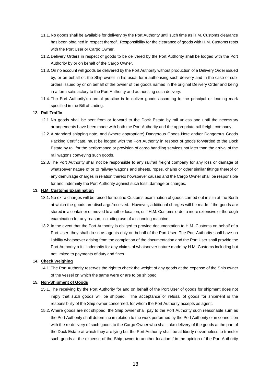- 11.1. No goods shall be available for delivery by the Port Authority until such time as H.M. Customs clearance has been obtained in respect thereof. Responsibility for the clearance of goods with H.M. Customs rests with the Port User or Cargo Owner.
- 11.2. Delivery Orders in respect of goods to be delivered by the Port Authority shall be lodged with the Port Authority by or on behalf of the Cargo Owner.
- 11.3. On no account will goods be delivered by the Port Authority without production of a Delivery Order issued by, or on behalf of, the Ship owner in his usual form authorising such delivery and in the case of suborders issued by or on behalf of the owner of the goods named in the original Delivery Order and being in a form satisfactory to the Port Authority and authorising such delivery.
- 11.4. The Port Authority's normal practice is to deliver goods according to the principal or leading mark specified in the Bill of Lading.

#### **12. Rail Traffic**

- 12.1. No goods shall be sent from or forward to the Dock Estate by rail unless and until the necessary arrangements have been made with both the Port Authority and the appropriate rail freight company.
- 12.2.A standard shipping note, and (where appropriate) Dangerous Goods Note and/or Dangerous Goods Packing Certificate, must be lodged with the Port Authority in respect of goods forwarded to the Dock Estate by rail for the performance or provision of cargo handling services not later than the arrival of the rail wagons conveying such goods.
- 12.3. The Port Authority shall not be responsible to any rail/rail freight company for any loss or damage of whatsoever nature of or to railway wagons and sheets, ropes, chains or other similar fittings thereof or any demurrage charges in relation thereto howsoever caused and the Cargo Owner shall be responsible for and indemnify the Port Authority against such loss, damage or charges.

### **13. H.M. Customs Examination**

- 13.1. No extra charges will be raised for routine Customs examination of goods carried out in situ at the Berth at which the goods are discharge/received. However, additional charges will be made if the goods are stored in a container or moved to another location, or if H.M. Customs order a more extensive or thorough examination for any reason, including use of a scanning machine.
- 13.2. In the event that the Port Authority is obliged to provide documentation to H.M. Customs on behalf of a Port User, they shall do so as agents only on behalf of the Port User. The Port Authority shall have no liability whatsoever arising from the completion of the documentation and the Port User shall provide the Port Authority a full indemnity for any claims of whatsoever nature made by H.M. Customs including but not limited to payments of duty and fines.

## **14. Check Weighing**

14.1. The Port Authority reserves the right to check the weight of any goods at the expense of the Ship owner of the vessel on which the same were or are to be shipped.

## **15. Non-Shipment of Goods**

- 15.1. The receiving by the Port Authority for and on behalf of the Port User of goods for shipment does not imply that such goods will be shipped. The acceptance or refusal of goods for shipment is the responsibility of the Ship owner concerned, for whom the Port Authority accepts as agent.
- 15.2. Where goods are not shipped, the Ship owner shall pay to the Port Authority such reasonable sum as the Port Authority shall determine in relation to the work performed by the Port Authority or in connection with the re-delivery of such goods to the Cargo Owner who shall take delivery of the goods at the part of the Dock Estate at which they are lying but the Port Authority shall be at liberty nevertheless to transfer such goods at the expense of the Ship owner to another location if in the opinion of the Port Authority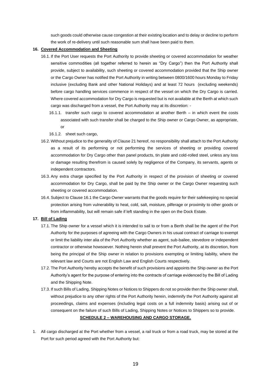such goods could otherwise cause congestion at their existing location and to delay or decline to perform the work of re-delivery until such reasonable sum shall have been paid to them.

## **16. Covered Accommodation and Sheeting**

- 16.1. If the Port User requests the Port Authority to provide sheeting or covered accommodation for weather sensitive commodities (all together referred to herein as "Dry Cargo") then the Port Authority shall provide, subject to availability, such sheeting or covered accommodation provided that the Ship owner or the Cargo Owner has notified the Port Authority in writing between 0800/1600 hours Monday to Friday inclusive (excluding Bank and other National Holidays) and at least 72 hours (excluding weekends) before cargo handling services commence in respect of the vessel on which the Dry Cargo is carried. Where covered accommodation for Dry Cargo is requested but is not available at the Berth at which such cargo was discharged from a vessel, the Port Authority may at its discretion: -
	- 16.1.1. transfer such cargo to covered accommodation at another Berth in which event the costs associated with such transfer shall be charged to the Ship owner or Cargo Owner, as appropriate, or
	- 16.1.2. sheet such cargo,
- 16.2. Without prejudice to the generality of Clause 21 hereof, no responsibility shall attach to the Port Authority as a result of its performing or not performing the services of sheeting or providing covered accommodation for Dry Cargo other than panel products, tin plate and cold-rolled steel, unless any loss or damage resulting therefrom is caused solely by negligence of the Company, its servants, agents or independent contractors.
- 16.3.Any extra charge specified by the Port Authority in respect of the provision of sheeting or covered accommodation for Dry Cargo, shall be paid by the Ship owner or the Cargo Owner requesting such sheeting or covered accommodation.
- 16.4.Subject to Clause 16.1 the Cargo Owner warrants that the goods require for their safekeeping no special protection arising from vulnerability to heat, cold, salt, moisture, pilferage or proximity to other goods or from inflammability, but will remain safe if left standing in the open on the Dock Estate.

## **17. Bill of Lading**

- 17.1. The Ship owner for a vessel which it is intended to sail to or from a Berth shall be the agent of the Port Authority for the purposes of agreeing with the Cargo Owners in his usual contract of carriage to exempt or limit the liability inter alia of the Port Authority whether as agent, sub-bailee, stevedore or independent contractor or otherwise howsoever. Nothing herein shall prevent the Port Authority, at its discretion, from being the principal of the Ship owner in relation to provisions exempting or limiting liability, where the relevant law and Courts are not English Law and English Courts respectively.
- 17.2. The Port Authority hereby accepts the benefit of such provisions and appoints the Ship owner as the Port Authority's agent for the purpose of entering into the contracts of carriage evidenced by the Bill of Lading and the Shipping Note.
- 17.3. If such Bills of Lading, Shipping Notes or Notices to Shippers do not so provide then the Ship owner shall, without prejudice to any other rights of the Port Authority herein, indemnify the Port Authority against all proceedings, claims and expenses (including legal costs on a full indemnity basis) arising out of or consequent on the failure of such Bills of Lading, Shipping Notes or Notices to Shippers so to provide. **SCHEDULE 2 – WAREHOUSING AND CARGO STORAGE.**
- 1. All cargo discharged at the Port whether from a vessel, a rail truck or from a road truck, may be stored at the Port for such period agreed with the Port Authority but: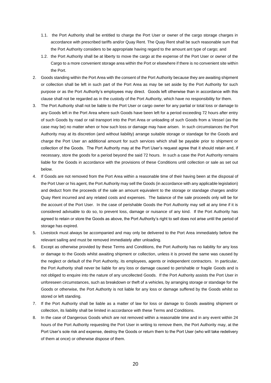- 1.1. the Port Authority shall be entitled to charge the Port User or owner of the cargo storage charges in accordance with prescribed tariffs and/or Quay Rent. The Quay Rent shall be such reasonable sum that the Port Authority considers to be appropriate having regard to the amount ant type of cargo; and
- 1.2. the Port Authority shall be at liberty to move the cargo at the expense of the Port User or owner of the Cargo to a more convenient storage area within the Port or elsewhere if there is no convenient site within the Port.
- 2. Goods standing within the Port Area with the consent of the Port Authority because they are awaiting shipment or collection shall be left in such part of the Port Area as may be set aside by the Port Authority for such purpose or as the Port Authority's employees may direct. Goods left otherwise than in accordance with this clause shall not be regarded as in the custody of the Port Authority, which have no responsibility for them.
- 3. The Port Authority shall not be liable to the Port User or cargo owner for any partial or total loss or damage to any Goods left in the Port Area where such Goods have been left for a period exceeding 72 hours after entry of such Goods by road or rail transport into the Port Area or unloading of such Goods from a Vessel (as the case may be) no matter when or how such loss or damage may have arisen. In such circumstances the Port Authority may at its discretion (and without liability) arrange suitable storage or standage for the Goods and charge the Port User an additional amount for such services which shall be payable prior to shipment or collection of the Goods. The Port Authority may at the Port User's request agree that it should retain and, if necessary, store the goods for a period beyond the said 72 hours. In such a case the Port Authority remains liable for the Goods in accordance with the provisions of these Conditions until collection or sale as set out below.
- 4. If Goods are not removed from the Port Area within a reasonable time of their having been at the disposal of the Port User or his agent, the Port Authority may sell the Goods (in accordance with any applicable legislation) and deduct from the proceeds of the sale an amount equivalent to the storage or standage charges and/or Quay Rent incurred and any related costs and expenses. The balance of the sale proceeds only will be for the account of the Port User. In the case of perishable Goods the Port Authority may sell at any time if it is considered advisable to do so, to prevent loss, damage or nuisance of any kind. If the Port Authority has agreed to retain or store the Goods as above, the Port Authority's right to sell does not arise until the period of storage has expired.
- 5. Livestock must always be accompanied and may only be delivered to the Port Area immediately before the relevant sailing and must be removed immediately after unloading.
- 6. Except as otherwise provided by these Terms and Conditions, the Port Authority has no liability for any loss or damage to the Goods whilst awaiting shipment or collection, unless it is proved the same was caused by the neglect or default of the Port Authority, its employees, agents or independent contractors. In particular, the Port Authority shall never be liable for any loss or damage caused to perishable or fragile Goods and is not obliged to enquire into the nature of any uncollected Goods. If the Port Authority assists the Port User in unforeseen circumstances, such as breakdown or theft of a vehicles, by arranging storage or standage for the Goods or otherwise, the Port Authority is not liable for any loss or damage suffered by the Goods whilst so stored or left standing.
- 7. If the Port Authority shall be liable as a matter of law for loss or damage to Goods awaiting shipment or collection, its liability shall be limited in accordance with these Terms and Conditions.
- 8. In the case of Dangerous Goods which are not removed within a reasonable time and in any event within 24 hours of the Port Authority requesting the Port User in writing to remove them, the Port Authority may, at the Port User's sole risk and expense, destroy the Goods or return them to the Port User (who will take redelivery of them at once) or otherwise dispose of them.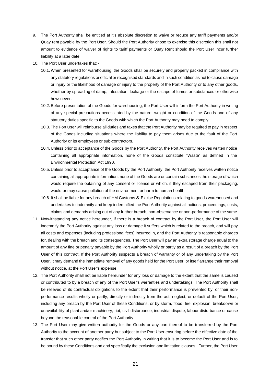- 9. The Port Authority shall be entitled at it's absolute discretion to waive or reduce any tariff payments and/or Quay rent payable by the Port User. Should the Port Authority chose to exercise this discretion this shall not amount to evidence of waiver of rights to tariff payments or Quay Rent should the Port User incur further liability at a later date.
- 10. The Port User undertakes that:
	- 10.1. When presented for warehousing, the Goods shall be securely and properly packed in compliance with any statutory regulations or official or recognised standards and in such condition as not to cause damage or injury or the likelihood of damage or injury to the property of the Port Authority or to any other goods, whether by spreading of damp, infestation, leakage or the escape of fumes or substances or otherwise howsoever.
	- 10.2.Before presentation of the Goods for warehousing, the Port User will inform the Port Authority in writing of any special precautions necessitated by the nature, weight or condition of the Goods and of any statutory duties specific to the Goods with which the Port Authority may need to comply.
	- 10.3. The Port User will reimburse all duties and taxes that the Port Authority may be required to pay in respect of the Goods including situations where the liability to pay them arises due to the fault of the Port Authority or its employees or sub-contractors.
	- 10.4. Unless prior to acceptance of the Goods by the Port Authority, the Port Authority receives written notice containing all appropriate information, none of the Goods constitute "Waste" as defined in the Environmental Protection Act 1990.
	- 10.5. Unless prior to acceptance of the Goods by the Port Authority, the Port Authority receives written notice containing all appropriate information, none of the Goods are or contain substances the storage of which would require the obtaining of any consent or license or which, if they escaped from their packaging, would or may cause pollution of the environment or harm to human health.
	- 10.6. It shall be liable for any breach of HM Customs & Excise Regulations relating to goods warehoused and undertakes to indemnify and keep indemnified the Port Authority against all actions, proceedings, costs, claims and demands arising out of any further breach, non-observance or non-performance of the same.
- 11. Notwithstanding any notice hereunder, if there is a breach of contract by the Port User, the Port User will indemnify the Port Authority against any loss or damage it suffers which is related to the breach, and will pay all costs and expenses (including professional fees) incurred in, and the Port Authority 's reasonable charges for, dealing with the breach and its consequences. The Port User will pay an extra storage charge equal to the amount of any fine or penalty payable by the Port Authority wholly or partly as a result of a breach by the Port User of this contract. If the Port Authority suspects a breach of warranty or of any undertaking by the Port User, it may demand the immediate removal of any goods held for the Port User, or itself arrange their removal without notice, at the Port User's expense.
- 12. The Port Authority shall not be liable hereunder for any loss or damage to the extent that the same is caused or contributed to by a breach of any of the Port User's warranties and undertakings. The Port Authority shall be relieved of its contractual obligations to the extent that their performance is prevented by, or their nonperformance results wholly or partly, directly or indirectly from the act, neglect, or default of the Port User, including any breach by the Port User of these Conditions, or by storm, flood, fire, explosion, breakdown or unavailability of plant and/or machinery, riot, civil disturbance, industrial dispute, labour disturbance or cause beyond the reasonable control of the Port Authority.
- 13. The Port User may give written authority for the Goods or any part thereof to be transferred by the Port Authority to the account of another party but subject to the Port User ensuring before the effective date of the transfer that such other party notifies the Port Authority in writing that it is to become the Port User and is to be bound by these Conditions and and specifically the exclusion and limitation clauses. Further, the Port User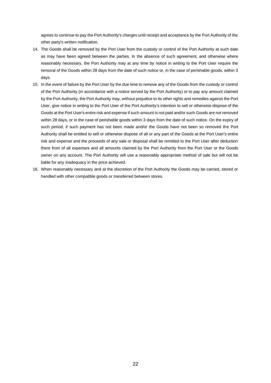agrees to continue to pay the Port Authority's charges until receipt and acceptance by the Port Authority of the other party's written notification.

- 14. The Goods shall be removed by the Port User from the custody or control of the Port Authority at such date as may have been agreed between the parties. In the absence of such agreement, and otherwise where reasonably necessary, the Port Authority may at any time by notice in writing to the Port User require the removal of the Goods within 28 days from the date of such notice or, in the case of perishable goods, within 3 days.
- 15. In the event of failure by the Port User by the due time to remove any of the Goods from the custody or control of the Port Authority (in accordance with a notice served by the Port Authority) or to pay any amount claimed by the Port Authority, the Port Authority may, without prejudice to its other rights and remedies against the Port User, give notice in writing to the Port User of the Port Authority's intention to sell or otherwise dispose of the Goods at the Port User's entire risk and expense if such amount is not paid and/or such Goods are not removed within 28 days, or in the case of perishable goods within 3 days from the date of such notice. On the expiry of such period, if such payment has not been made and/or the Goods have not been so removed the Port Authority shall be entitled to sell or otherwise dispose of all or any part of the Goods at the Port User's entire risk and expense and the proceeds of any sale or disposal shall be remitted to the Port User after deduction there from of all expenses and all amounts claimed by the Port Authority from the Port User or the Goods owner on any account. The Port Authority will use a reasonably appropriate method of sale but will not be liable for any inadequacy in the price achieved.
- 16. When reasonably necessary and at the discretion of the Port Authority the Goods may be carried, stored or handled with other compatible goods or transferred between stores.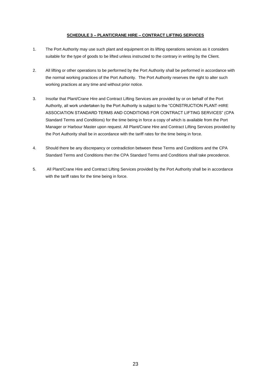## **SCHEDULE 3 – PLANT/CRANE HIRE – CONTRACT LIFTING SERVICES**

- 1. The Port Authority may use such plant and equipment on its lifting operations services as it considers suitable for the type of goods to be lifted unless instructed to the contrary in writing by the Client.
- 2. All lifting or other operations to be performed by the Port Authority shall be performed in accordance with the normal working practices of the Port Authority. The Port Authority reserves the right to alter such working practices at any time and without prior notice.
- 3. Insofar that Plant/Crane Hire and Contract Lifting Services are provided by or on behalf of the Port Authority, all work undertaken by the Port Authority is subject to the "CONSTRUCTION PLANT-HIRE ASSOCIATION STANDARD TERMS AND CONDITIONS FOR CONTRACT LIFTING SERVICES" (CPA Standard Terms and Conditions) for the time being in force a copy of which is available from the Port Manager or Harbour Master upon request. All Plant/Crane Hire and Contract Lifting Services provided by the Port Authority shall be in accordance with the tariff rates for the time being in force.
- 4. Should there be any discrepancy or contradiction between these Terms and Conditions and the CPA Standard Terms and Conditions then the CPA Standard Terms and Conditions shall take precedence.
- 5. All Plant/Crane Hire and Contract Lifting Services provided by the Port Authority shall be in accordance with the tariff rates for the time being in force.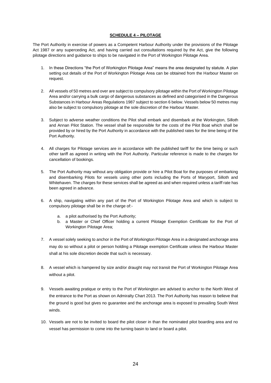## **SCHEDULE 4 – PILOTAGE**

The Port Authority in exercise of powers as a Competent Harbour Authority under the provisions of the Pilotage Act 1987 or any superceding Act, and having carried out consultations required by the Act, give the following pilotage directions and guidance to ships to be navigated in the Port of Workington Pilotage Area.

- 1. In these Directions "the Port of Workington Pilotage Area" means the area designated by statute. A plan setting out details of the Port of Workington Pilotage Area can be obtained from the Harbour Master on request.
- 2. All vessels of 50 metres and over are subject to compulsory pilotage within the Port of Workington Pilotage Area and/or carrying a bulk cargo of dangerous substances as defined and categorised in the Dangerous Substances in Harbour Areas Regulations 1987 subject to section 6 below. Vessels below 50 metres may also be subject to compulsory pilotage at the sole discretion of the Harbour Master.
- 3. Subject to adverse weather conditions the Pilot shall embark and disembark at the Workington, Silloth and Annan Pilot Station. The vessel shall be responsible for the costs of the Pilot Boat which shall be provided by or hired by the Port Authority in accordance with the published rates for the time being of the Port Authority.
- 4. All charges for Pilotage services are in accordance with the published tariff for the time being or such other tariff as agreed in writing with the Port Authority. Particular reference is made to the charges for cancellation of bookings.
- 5. The Port Authority may without any obligation provide or hire a Pilot Boat for the purposes of embarking and disembarking Pilots for vessels using other ports including the Ports of Maryport, Silloth and Whitehaven. The charges for these services shall be agreed as and when required unless a tariff rate has been agreed in advance.
- 6. A ship, navigating within any part of the Port of Workington Pilotage Area and which is subject to compulsory pilotage shall be in the charge of:
	- a. a pilot authorised by the Port Authority;
	- b. a Master or Chief Officer holding a current Pilotage Exemption Certificate for the Port of Workington Pilotage Area;
- 7. A vessel solely seeking to anchor in the Port of Workington Pilotage Area in a designated anchorage area may do so without a pilot or person holding a Pilotage exemption Certificate unless the Harbour Master shall at his sole discretion decide that such is necessary.
- 8. A vessel which is hampered by size and/or draught may not transit the Port of Workington Pilotage Area without a pilot.
- 9. Vessels awaiting pratique or entry to the Port of Workington are advised to anchor to the North West of the entrance to the Port as shown on Admiralty Chart 2013. The Port Authority has reason to believe that the ground is good but gives no guarantee and the anchorage area is exposed to prevailing South West winds.
- 10. Vessels are not to be invited to board the pilot closer in than the nominated pilot boarding area and no vessel has permission to come into the turning basin to land or board a pilot.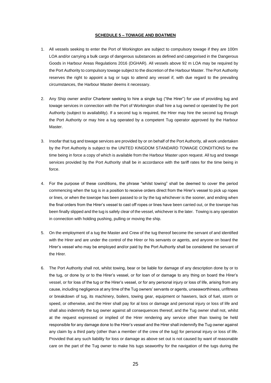#### **SCHEDULE 5 – TOWAGE AND BOATMEN**

- 1. All vessels seeking to enter the Port of Workington are subject to compulsory towage if they are 100m LOA and/or carrying a bulk cargo of dangerous substances as defined and categorised in the Dangerous Goods in Harbour Areas Regulations 2016 (DGHAR). All vessels above 92 m LOA may be required by the Port Authority to compulsory towage subject to the discretion of the Harbour Master. The Port Authority reserves the right to appoint a tug or tugs to attend any vessel if, with due regard to the prevailing circumstances, the Harbour Master deems it necessary.
- 2. Any Ship owner and/or Charterer seeking to hire a single tug ("the Hirer") for use of providing tug and towage services in connection with the Port of Workington shall hire a tug owned or operated by the port Authority (subject to availability). If a second tug is required, the Hirer may hire the second tug through the Port Authority or may hire a tug operated by a competent Tug operator approved by the Harbour Master.
- 3. Insofar that tug and towage services are provided by or on behalf of the Port Authority, all work undertaken by the Port Authority is subject to the UNITED KINGDOM STANDARD TOWAGE CONDITIONS for the time being in force a copy of which is available from the Harbour Master upon request. All tug and towage services provided by the Port Authority shall be in accordance with the tariff rates for the time being in force.
- 4. For the purpose of these conditions, the phrase "whilst towing" shall be deemed to cover the period commencing when the tug is in a position to receive orders direct from the Hirer's vessel to pick up ropes or lines, or when the towrope has been passed to or by the tug whichever is the sooner, and ending when the final orders from the Hirer's vessel to cast off ropes or lines have been carried out, or the towrope has been finally slipped and the tug is safely clear of the vessel, whichever is the later. Towing is any operation in connection with holding pushing, pulling or moving the ship.
- 5. On the employment of a tug the Master and Crew of the tug thereof become the servant of and identified with the Hirer and are under the control of the Hirer or his servants or agents, and anyone on board the Hirer's vessel who may be employed and/or paid by the Port Authority shall be considered the servant of the Hirer.
- 6. The Port Authority shall not, whilst towing, bear or be liable for damage of any description done by or to the tug, or done by or to the Hirer's vessel, or for loan of or damage to any thing on board the Hirer's vessel, or for loss of the tug or the Hirer's vessel, or for any personal injury or loss of life, arising from any cause, including negligence at any time of the Tug owners' servants or agents, unseaworthiness, unfitness or breakdown of tug, its machinery, boilers, towing gear, equipment or hawsers, lack of fuel, storm or speed, or otherwise, and the Hirer shall pay for al loss or damage and personal injury or loss of life and shall also indemnify the tug owner against all consequences thereof, and the Tug owner shall not, whilst at the request expressed or implied of the Hirer rendering any service other than towing be held responsible for any damage done to the Hirer's vessel and the Hirer shall indemnify the Tug owner against any claim by a third party (other than a member of the crew of the tug) for personal injury or loss of life. Provided that any such liability for loss or damage as above set out is not caused by want of reasonable care on the part of the Tug owner to make his tugs seaworthy for the navigation of the tugs during the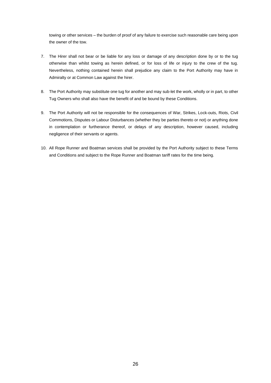towing or other services – the burden of proof of any failure to exercise such reasonable care being upon the owner of the tow.

- 7. The Hirer shall not bear or be liable for any loss or damage of any description done by or to the tug otherwise than whilst towing as herein defined, or for loss of life or injury to the crew of the tug. Nevertheless, nothing contained herein shall prejudice any claim to the Port Authority may have in Admiralty or at Common Law against the hirer.
- 8. The Port Authority may substitute one tug for another and may sub-let the work, wholly or in part, to other Tug Owners who shall also have the benefit of and be bound by these Conditions.
- 9. The Port Authority will not be responsible for the consequences of War, Strikes, Lock-outs, Riots, Civil Commotions, Disputes or Labour Disturbances (whether they be parties thereto or not) or anything done in contemplation or furtherance thereof, or delays of any description, however caused, including negligence of their servants or agents.
- 10. All Rope Runner and Boatman services shall be provided by the Port Authority subject to these Terms and Conditions and subject to the Rope Runner and Boatman tariff rates for the time being.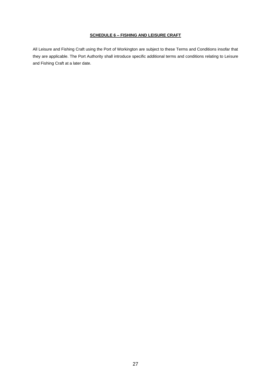## **SCHEDULE 6 – FISHING AND LEISURE CRAFT**

All Leisure and Fishing Craft using the Port of Workington are subject to these Terms and Conditions insofar that they are applicable. The Port Authority shall introduce specific additional terms and conditions relating to Leisure and Fishing Craft at a later date.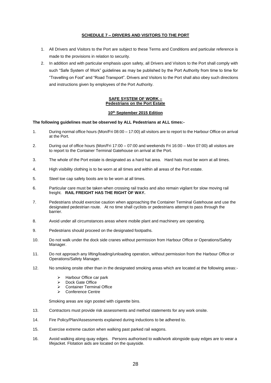## **SCHEDULE 7 – DRIVERS AND VISITORS TO THE PORT**

- 1. All Drivers and Visitors to the Port are subject to these Terms and Conditions and particular reference is made to the provisions in relation to security.
- 2. In addition and with particular emphasis upon safety, all Drivers and Visitors to the Port shall comply with such "Safe System of Work" guidelines as may be published by the Port Authority from time to time for "Travelling on Foot" and "Road Transport". Drivers and Visitors to the Port shall also obey such directions and instructions given by employees of the Port Authority.

## **SAFE SYSTEM OF WORK – Pedestrians on the Port Estate**

## **10th September 2015 Edition**

## **The following guidelines must be observed by ALL Pedestrians at ALL times:-**

- 1. During normal office hours (Mon/Fri 08:00 17:00) all visitors are to report to the Harbour Office on arrival at the Port.
- 2. During out of office hours (Mon/Fri 17:00 07:00 and weekends Fri 16:00 Mon 07:00) all visitors are to report to the Container Terminal Gatehouse on arrival at the Port.
- 3. The whole of the Port estate is designated as a hard hat area. Hard hats must be worn at all times.
- 4. High visibility clothing is to be worn at all times and within all areas of the Port estate.
- 5. Steel toe cap safety boots are to be worn at all times.
- 6. Particular care must be taken when crossing rail tracks and also remain vigilant for slow moving rail freight. **RAIL FREIGHT HAS THE RIGHT OF WAY.**
- 7. Pedestrians should exercise caution when approaching the Container Terminal Gatehouse and use the designated pedestrian route. At no time shall cyclists or pedestrians attempt to pass through the barrier.
- 8. Avoid under all circumstances areas where mobile plant and machinery are operating.
- 9. Pedestrians should proceed on the designated footpaths.
- 10. Do not walk under the dock side cranes without permission from Harbour Office or Operations/Safety Manager.
- 11. Do not approach any lifting/loading/unloading operation, without permission from the Harbour Office or Operations/Safety Manager.
- 12. No smoking onsite other than in the designated smoking areas which are located at the following areas:-
	- ➢ Harbour Office car park
	- ➢ Dock Gate Office
	- ➢ Container Terminal Office
	- ➢ Conference Centre

Smoking areas are sign posted with cigarette bins.

- 13. Contractors must provide risk assessments and method statements for any work onsite.
- 14. Fire Policy/Plan/Assessments explained during inductions to be adhered to.
- 15. Exercise extreme caution when walking past parked rail wagons.
- 16. Avoid walking along quay edges. Persons authorised to walk/work alongside quay edges are to wear a lifejacket. Flotation aids are located on the quayside.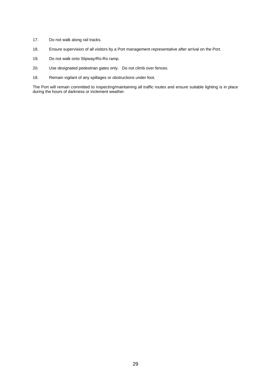- 17. Do not walk along rail tracks.
- 18. Ensure supervision of all visitors by a Port management representative after arrival on the Port.
- 19. Do not walk onto Slipway/Ro-Ro ramp.
- 20. Use designated pedestrian gates only. Do not climb over fences.
- 18. Remain vigilant of any spillages or obstructions under foot.

The Port will remain committed to inspecting/maintaining all traffic routes and ensure suitable lighting is in place during the hours of darkness or inclement weather.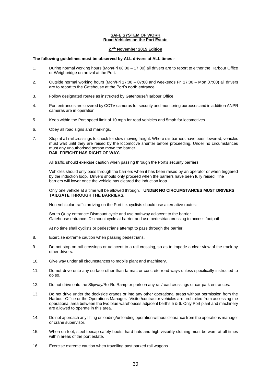## **SAFE SYSTEM OF WORK Road Vehicles on the Port Estate**

### **27th November 2015 Edition**

### **The following guidelines must be observed by ALL drivers at ALL times:-**

- 1. During normal working hours (Mon/Fri 08:00 17:00) all drivers are to report to either the Harbour Office or Weighbridge on arrival at the Port.
- 2. Outside normal working hours (Mon/Fri 17:00 07:00 and weekends Fri 17:00 Mon 07:00) all drivers are to report to the Gatehouse at the Port's north entrance.
- 3. Follow designated routes as instructed by Gatehouse/Harbour Office.
- 4. Port entrances are covered by CCTV cameras for security and monitoring purposes and in addition ANPR cameras are in operation.
- 5. Keep within the Port speed limit of 10 mph for road vehicles and 5mph for locomotives.
- 6. Obey all road signs and markings.
- 7. Stop at all rail crossings to check for slow moving freight. Where rail barriers have been lowered, vehicles must wait until they are raised by the locomotive shunter before proceeding. Under no circumstances must any unauthorised person move the barrier. **RAIL FREIGHT HAS RIGHT OF WAY.**

All traffic should exercise caution when passing through the Port's security barriers.

Vehicles should only pass through the barriers when it has been raised by an operator or when triggered by the induction loop. Drivers should only proceed when the barriers have been fully raised. The barriers will lower once the vehicle has cleared the induction loop.

#### Only one vehicle at a time will be allowed through. **UNDER NO CIRCUMSTANCES MUST DRIVERS TAILGATE THROUGH THE BARRIERS.**

Non-vehicular traffic arriving on the Port i.e. cyclists should use alternative routes:-

South Quay entrance: Dismount cycle and use pathway adjacent to the barrier. Gatehouse entrance: Dismount cycle at barrier and use pedestrian crossing to access footpath.

At no time shall cyclists or pedestrians attempt to pass through the barrier.

- 8. Exercise extreme caution when passing pedestrians.
- 9. Do not stop on rail crossings or adjacent to a rail crossing, so as to impede a clear view of the track by other drivers.
- 10. Give way under all circumstances to mobile plant and machinery.
- 11. Do not drive onto any surface other than tarmac or concrete road ways unless specifically instructed to do so.
- 12. Do not drive onto the Slipway/Ro-Ro Ramp or park on any rail/road crossings or car park entrances.
- 13. Do not drive under the dockside cranes or into any other operational areas without permission from the Harbour Office or the Operations Manager. Visitor/contractor vehicles are prohibited from accessing the operational area between the two blue warehouses adjacent berths 5 & 6. Only Port plant and machinery are allowed to operate in this area.
- 14. Do not approach any lifting or loading/unloading operation without clearance from the operations manager or crane supervisor.
- 15. When on foot, steel toecap safety boots, hard hats and high visibility clothing must be worn at all times within areas of the port estate.
- 16. Exercise extreme caution when travelling past parked rail wagons.